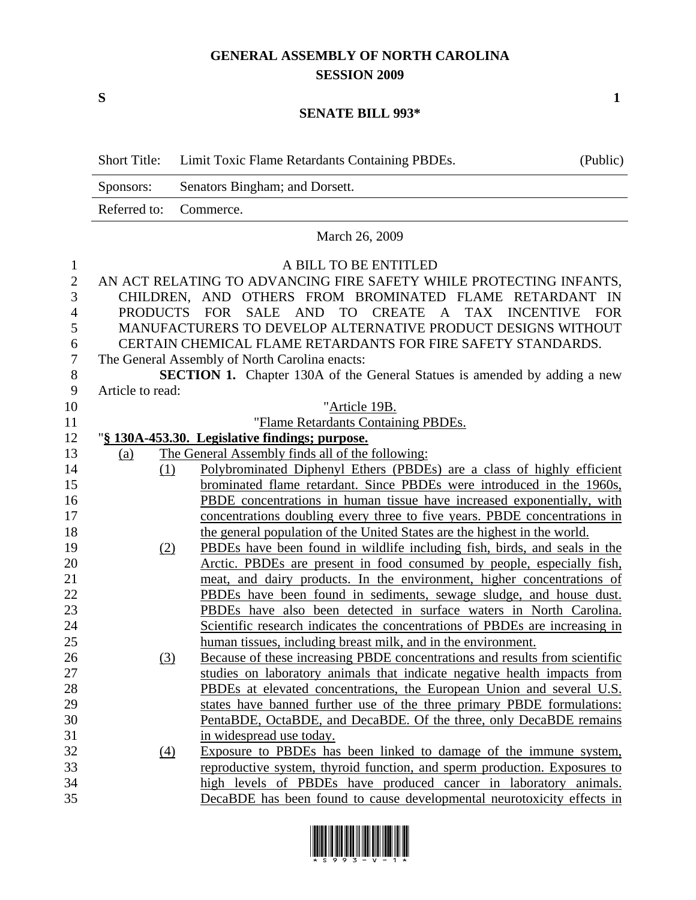## **GENERAL ASSEMBLY OF NORTH CAROLINA SESSION 2009**

## **SENATE BILL 993\***

|                | <b>Short Title:</b> | Limit Toxic Flame Retardants Containing PBDEs.<br>(Public)                            |
|----------------|---------------------|---------------------------------------------------------------------------------------|
|                | Sponsors:           | Senators Bingham; and Dorsett.                                                        |
|                | Referred to:        | Commerce.                                                                             |
|                |                     | March 26, 2009                                                                        |
| $\mathbf{1}$   |                     | A BILL TO BE ENTITLED                                                                 |
| $\overline{2}$ |                     | AN ACT RELATING TO ADVANCING FIRE SAFETY WHILE PROTECTING INFANTS,                    |
| 3              |                     | CHILDREN, AND OTHERS FROM BROMINATED FLAME RETARDANT IN                               |
| 4              | <b>PRODUCTS</b>     | <b>FOR</b><br><b>SALE</b><br>AND<br><b>TO</b><br>CREATE A TAX INCENTIVE<br><b>FOR</b> |
| 5              |                     | MANUFACTURERS TO DEVELOP ALTERNATIVE PRODUCT DESIGNS WITHOUT                          |
| 6              |                     | CERTAIN CHEMICAL FLAME RETARDANTS FOR FIRE SAFETY STANDARDS.                          |
| 7              |                     | The General Assembly of North Carolina enacts:                                        |
| 8              |                     | <b>SECTION 1.</b> Chapter 130A of the General Statues is amended by adding a new      |
| 9              | Article to read:    |                                                                                       |
| 10             |                     | "Article 19B.                                                                         |
| 11             |                     | "Flame Retardants Containing PBDEs.                                                   |
| 12             |                     | "§ 130A-453.30. Legislative findings; purpose.                                        |
| 13             | (a)                 | The General Assembly finds all of the following:                                      |
| 14             | (1)                 | Polybrominated Diphenyl Ethers (PBDEs) are a class of highly efficient                |
| 15             |                     | brominated flame retardant. Since PBDEs were introduced in the 1960s,                 |
| 16             |                     | PBDE concentrations in human tissue have increased exponentially, with                |
| 17             |                     | concentrations doubling every three to five years. PBDE concentrations in             |
| 18             |                     | the general population of the United States are the highest in the world.             |
| 19             | (2)                 | PBDEs have been found in wildlife including fish, birds, and seals in the             |
| 20             |                     | Arctic. PBDEs are present in food consumed by people, especially fish,                |
| 21             |                     | meat, and dairy products. In the environment, higher concentrations of                |
| 22             |                     | PBDEs have been found in sediments, sewage sludge, and house dust.                    |
| 23             |                     | PBDEs have also been detected in surface waters in North Carolina.                    |
| 24             |                     | Scientific research indicates the concentrations of PBDEs are increasing in           |
| 25             |                     | human tissues, including breast milk, and in the environment.                         |
| 26             | <u>(3)</u>          | Because of these increasing PBDE concentrations and results from scientific           |
| 27             |                     | studies on laboratory animals that indicate negative health impacts from              |
| 28             |                     | PBDEs at elevated concentrations, the European Union and several U.S.                 |
| 29             |                     | states have banned further use of the three primary PBDE formulations:                |
| 30             |                     | PentaBDE, OctaBDE, and DecaBDE. Of the three, only DecaBDE remains                    |
| 31             |                     | in widespread use today.                                                              |
| 32             | $\Delta$            | Exposure to PBDEs has been linked to damage of the immune system,                     |
| 33             |                     | reproductive system, thyroid function, and sperm production. Exposures to             |
| 34             |                     | high levels of PBDEs have produced cancer in laboratory animals.                      |
| 35             |                     | DecaBDE has been found to cause developmental neurotoxicity effects in                |



 $S$  1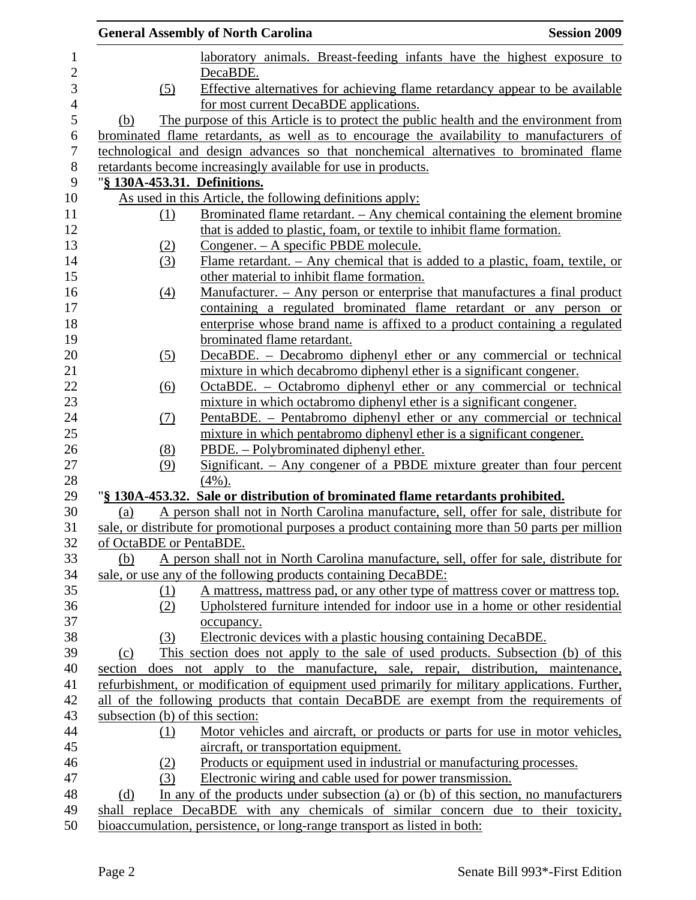|                         | <b>General Assembly of North Carolina</b>                                                        | <b>Session 2009</b> |
|-------------------------|--------------------------------------------------------------------------------------------------|---------------------|
|                         | laboratory animals. Breast-feeding infants have the highest exposure to                          |                     |
|                         | DecaBDE.                                                                                         |                     |
| (5)                     | Effective alternatives for achieving flame retardancy appear to be available                     |                     |
|                         | for most current DecaBDE applications.                                                           |                     |
| (b)                     | The purpose of this Article is to protect the public health and the environment from             |                     |
|                         | brominated flame retardants, as well as to encourage the availability to manufacturers of        |                     |
|                         | technological and design advances so that nonchemical alternatives to brominated flame           |                     |
|                         | retardants become increasingly available for use in products.                                    |                     |
|                         | "§ 130A-453.31. Definitions.                                                                     |                     |
|                         | As used in this Article, the following definitions apply:                                        |                     |
| (1)                     | <u>Brominated flame retardant. – Any chemical containing the element bromine</u>                 |                     |
|                         | that is added to plastic, foam, or textile to inhibit flame formation.                           |                     |
| <u>(2)</u>              | Congener. – A specific PBDE molecule.                                                            |                     |
| (3)                     | Flame retardant. $-$ Any chemical that is added to a plastic, foam, textile, or                  |                     |
|                         | other material to inhibit flame formation.                                                       |                     |
| (4)                     | Manufacturer. – Any person or enterprise that manufactures a final product                       |                     |
|                         | containing a regulated brominated flame retardant or any person or                               |                     |
|                         | enterprise whose brand name is affixed to a product containing a regulated                       |                     |
|                         | brominated flame retardant.                                                                      |                     |
| (5)                     | DecaBDE. – Decabromo diphenyl ether or any commercial or technical                               |                     |
|                         | mixture in which decabromo diphenyl ether is a significant congener.                             |                     |
| (6)                     | OctaBDE. – Octabromo diphenyl ether or any commercial or technical                               |                     |
|                         | mixture in which octabromo diphenyl ether is a significant congener.                             |                     |
| (7)                     | PentaBDE. – Pentabromo diphenyl ether or any commercial or technical                             |                     |
|                         | mixture in which pentabromo diphenyl ether is a significant congener.                            |                     |
| (8)                     | PBDE. – Polybrominated diphenyl ether.                                                           |                     |
| (9)                     | Significant. - Any congener of a PBDE mixture greater than four percent                          |                     |
|                         | $(4\%)$ .                                                                                        |                     |
|                         | "§ 130A-453.32. Sale or distribution of brominated flame retardants prohibited.                  |                     |
| (a)                     | A person shall not in North Carolina manufacture, sell, offer for sale, distribute for           |                     |
|                         | sale, or distribute for promotional purposes a product containing more than 50 parts per million |                     |
| of OctaBDE or PentaBDE. |                                                                                                  |                     |
| (b)                     | A person shall not in North Carolina manufacture, sell, offer for sale, distribute for           |                     |
|                         | sale, or use any of the following products containing DecaBDE:                                   |                     |
| (1)                     | A mattress, mattress pad, or any other type of mattress cover or mattress top.                   |                     |
| (2)                     | Upholstered furniture intended for indoor use in a home or other residential                     |                     |
|                         | occupancy.                                                                                       |                     |
| (3)                     | Electronic devices with a plastic housing containing DecaBDE.                                    |                     |
| (c)                     | This section does not apply to the sale of used products. Subsection (b) of this                 |                     |
| section                 | does not apply to the manufacture, sale, repair, distribution, maintenance,                      |                     |
|                         | refurbishment, or modification of equipment used primarily for military applications. Further,   |                     |
|                         | all of the following products that contain DecaBDE are exempt from the requirements of           |                     |
|                         | subsection (b) of this section:                                                                  |                     |
| (1)                     | Motor vehicles and aircraft, or products or parts for use in motor vehicles,                     |                     |
|                         | aircraft, or transportation equipment.                                                           |                     |
| (2)                     | Products or equipment used in industrial or manufacturing processes.                             |                     |
| (3)                     | Electronic wiring and cable used for power transmission.                                         |                     |
| (d)                     | In any of the products under subsection (a) or (b) of this section, no manufacturers             |                     |
|                         | shall replace DecaBDE with any chemicals of similar concern due to their toxicity,               |                     |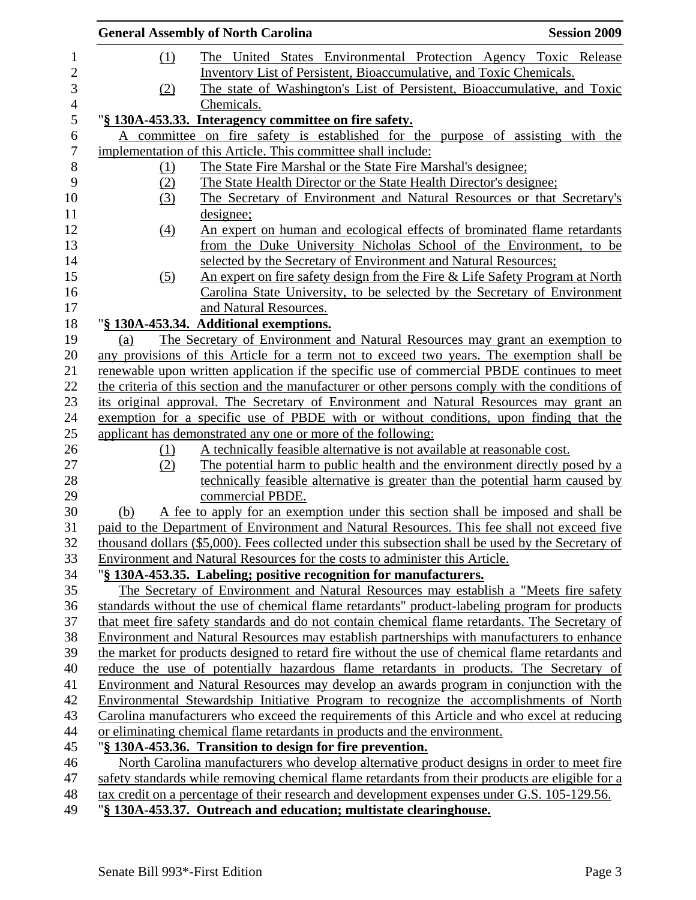|            | <b>General Assembly of North Carolina</b>                                                                                                                                                       | <b>Session 2009</b> |
|------------|-------------------------------------------------------------------------------------------------------------------------------------------------------------------------------------------------|---------------------|
| (1)        | The United States Environmental Protection Agency Toxic Release                                                                                                                                 |                     |
|            | Inventory List of Persistent, Bioaccumulative, and Toxic Chemicals.                                                                                                                             |                     |
| (2)        | The state of Washington's List of Persistent, Bioaccumulative, and Toxic                                                                                                                        |                     |
|            | Chemicals.                                                                                                                                                                                      |                     |
|            | "§ 130A-453.33. Interagency committee on fire safety.                                                                                                                                           |                     |
|            | A committee on fire safety is established for the purpose of assisting with the                                                                                                                 |                     |
|            | implementation of this Article. This committee shall include:                                                                                                                                   |                     |
| <u>(1)</u> | The State Fire Marshal or the State Fire Marshal's designee;                                                                                                                                    |                     |
| (2)        | The State Health Director or the State Health Director's designee;                                                                                                                              |                     |
| (3)        | The Secretary of Environment and Natural Resources or that Secretary's                                                                                                                          |                     |
|            | <u>designee;</u>                                                                                                                                                                                |                     |
| (4)        | An expert on human and ecological effects of brominated flame retardants                                                                                                                        |                     |
|            | from the Duke University Nicholas School of the Environment, to be                                                                                                                              |                     |
|            | selected by the Secretary of Environment and Natural Resources;                                                                                                                                 |                     |
| (5)        | An expert on fire safety design from the Fire & Life Safety Program at North                                                                                                                    |                     |
|            | Carolina State University, to be selected by the Secretary of Environment                                                                                                                       |                     |
|            | and Natural Resources.                                                                                                                                                                          |                     |
|            | "§ 130A-453.34. Additional exemptions.                                                                                                                                                          |                     |
| (a)        | The Secretary of Environment and Natural Resources may grant an exemption to                                                                                                                    |                     |
|            | any provisions of this Article for a term not to exceed two years. The exemption shall be                                                                                                       |                     |
|            | renewable upon written application if the specific use of commercial PBDE continues to meet                                                                                                     |                     |
|            | the criteria of this section and the manufacturer or other persons comply with the conditions of                                                                                                |                     |
|            | its original approval. The Secretary of Environment and Natural Resources may grant an                                                                                                          |                     |
|            | exemption for a specific use of PBDE with or without conditions, upon finding that the                                                                                                          |                     |
|            | applicant has demonstrated any one or more of the following:                                                                                                                                    |                     |
| <u>(1)</u> | A technically feasible alternative is not available at reasonable cost.                                                                                                                         |                     |
| (2)        | The potential harm to public health and the environment directly posed by a                                                                                                                     |                     |
|            | technically feasible alternative is greater than the potential harm caused by                                                                                                                   |                     |
|            | commercial PBDE.                                                                                                                                                                                |                     |
| (b)        | A fee to apply for an exemption under this section shall be imposed and shall be                                                                                                                |                     |
|            | paid to the Department of Environment and Natural Resources. This fee shall not exceed five                                                                                                     |                     |
|            | thousand dollars (\$5,000). Fees collected under this subsection shall be used by the Secretary of                                                                                              |                     |
|            | Environment and Natural Resources for the costs to administer this Article.                                                                                                                     |                     |
|            | "§ 130A-453.35. Labeling; positive recognition for manufacturers.                                                                                                                               |                     |
|            | The Secretary of Environment and Natural Resources may establish a "Meets fire safety"                                                                                                          |                     |
|            | standards without the use of chemical flame retardants" product-labeling program for products<br>that meet fire safety standards and do not contain chemical flame retardants. The Secretary of |                     |
|            |                                                                                                                                                                                                 |                     |
|            | Environment and Natural Resources may establish partnerships with manufacturers to enhance                                                                                                      |                     |
|            | the market for products designed to retard fire without the use of chemical flame retardants and                                                                                                |                     |
|            | reduce the use of potentially hazardous flame retardants in products. The Secretary of                                                                                                          |                     |
|            | Environment and Natural Resources may develop an awards program in conjunction with the                                                                                                         |                     |
|            | Environmental Stewardship Initiative Program to recognize the accomplishments of North                                                                                                          |                     |
|            | Carolina manufacturers who exceed the requirements of this Article and who excel at reducing<br>or eliminating chemical flame retardants in products and the environment.                       |                     |
|            |                                                                                                                                                                                                 |                     |
|            | "§ 130A-453.36. Transition to design for fire prevention.<br>North Carolina manufacturers who develop alternative product designs in order to meet fire                                         |                     |
|            | safety standards while removing chemical flame retardants from their products are eligible for a                                                                                                |                     |
|            | tax credit on a percentage of their research and development expenses under G.S. 105-129.56.                                                                                                    |                     |
|            | "§ 130A-453.37. Outreach and education; multistate clearinghouse.                                                                                                                               |                     |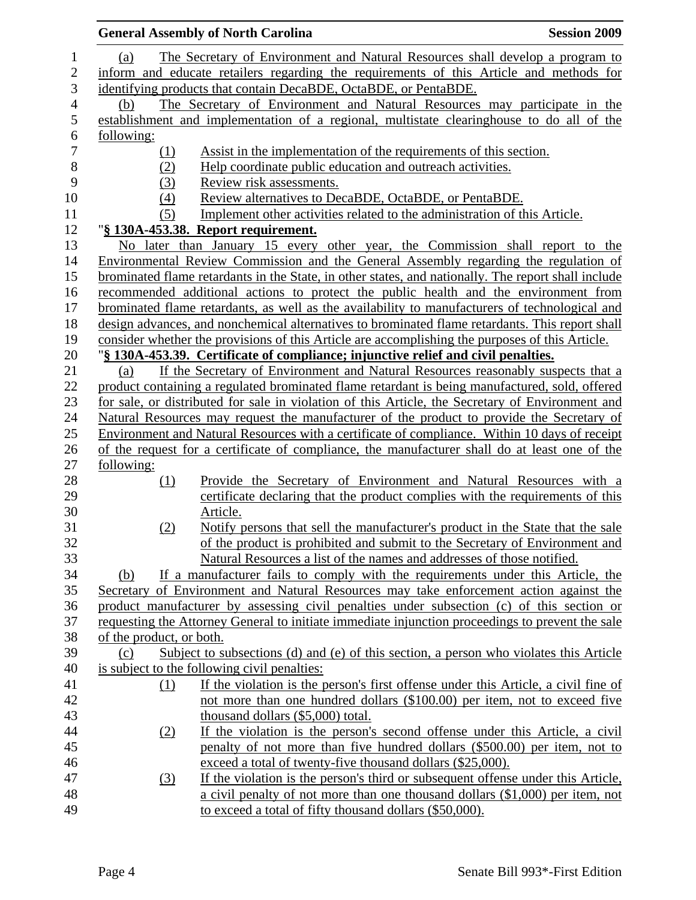|                                                                                         | <b>General Assembly of North Carolina</b><br><b>Session 2009</b>                                    |  |  |  |
|-----------------------------------------------------------------------------------------|-----------------------------------------------------------------------------------------------------|--|--|--|
| (a)                                                                                     | The Secretary of Environment and Natural Resources shall develop a program to                       |  |  |  |
| inform and educate retailers regarding the requirements of this Article and methods for |                                                                                                     |  |  |  |
|                                                                                         | identifying products that contain DecaBDE, OctaBDE, or PentaBDE.                                    |  |  |  |
| (b)                                                                                     | The Secretary of Environment and Natural Resources may participate in the                           |  |  |  |
|                                                                                         | establishment and implementation of a regional, multistate clearinghouse to do all of the           |  |  |  |
| following:                                                                              |                                                                                                     |  |  |  |
|                                                                                         | Assist in the implementation of the requirements of this section.                                   |  |  |  |
| <u>(1)</u>                                                                              | Help coordinate public education and outreach activities.                                           |  |  |  |
| (2)                                                                                     |                                                                                                     |  |  |  |
| (3)                                                                                     | Review risk assessments.                                                                            |  |  |  |
| (4)                                                                                     | Review alternatives to DecaBDE, OctaBDE, or PentaBDE.                                               |  |  |  |
| (5)                                                                                     | Implement other activities related to the administration of this Article.                           |  |  |  |
|                                                                                         | "§ 130A-453.38. Report requirement.                                                                 |  |  |  |
|                                                                                         | No later than January 15 every other year, the Commission shall report to the                       |  |  |  |
|                                                                                         | Environmental Review Commission and the General Assembly regarding the regulation of                |  |  |  |
|                                                                                         | brominated flame retardants in the State, in other states, and nationally. The report shall include |  |  |  |
|                                                                                         | recommended additional actions to protect the public health and the environment from                |  |  |  |
|                                                                                         | brominated flame retardants, as well as the availability to manufacturers of technological and      |  |  |  |
|                                                                                         | design advances, and nonchemical alternatives to brominated flame retardants. This report shall     |  |  |  |
|                                                                                         | consider whether the provisions of this Article are accomplishing the purposes of this Article.     |  |  |  |
|                                                                                         | "§ 130A-453.39. Certificate of compliance; injunctive relief and civil penalties.                   |  |  |  |
| (a)                                                                                     | If the Secretary of Environment and Natural Resources reasonably suspects that a                    |  |  |  |
|                                                                                         | product containing a regulated brominated flame retardant is being manufactured, sold, offered      |  |  |  |
|                                                                                         | for sale, or distributed for sale in violation of this Article, the Secretary of Environment and    |  |  |  |
|                                                                                         | Natural Resources may request the manufacturer of the product to provide the Secretary of           |  |  |  |
|                                                                                         | Environment and Natural Resources with a certificate of compliance. Within 10 days of receipt       |  |  |  |
|                                                                                         | of the request for a certificate of compliance, the manufacturer shall do at least one of the       |  |  |  |
| following:                                                                              |                                                                                                     |  |  |  |
| (1)                                                                                     | Provide the Secretary of Environment and Natural Resources with a                                   |  |  |  |
|                                                                                         | certificate declaring that the product complies with the requirements of this                       |  |  |  |
|                                                                                         | Article.                                                                                            |  |  |  |
| (2)                                                                                     | Notify persons that sell the manufacturer's product in the State that the sale                      |  |  |  |
|                                                                                         | of the product is prohibited and submit to the Secretary of Environment and                         |  |  |  |
|                                                                                         | Natural Resources a list of the names and addresses of those notified.                              |  |  |  |
| (b)                                                                                     | If a manufacturer fails to comply with the requirements under this Article, the                     |  |  |  |
|                                                                                         | Secretary of Environment and Natural Resources may take enforcement action against the              |  |  |  |
|                                                                                         | product manufacturer by assessing civil penalties under subsection (c) of this section or           |  |  |  |
|                                                                                         | requesting the Attorney General to initiate immediate injunction proceedings to prevent the sale    |  |  |  |
| of the product, or both.                                                                |                                                                                                     |  |  |  |
|                                                                                         |                                                                                                     |  |  |  |
| (c)                                                                                     | Subject to subsections (d) and (e) of this section, a person who violates this Article              |  |  |  |
|                                                                                         | is subject to the following civil penalties:                                                        |  |  |  |
| (1)                                                                                     | If the violation is the person's first offense under this Article, a civil fine of                  |  |  |  |
|                                                                                         | not more than one hundred dollars (\$100.00) per item, not to exceed five                           |  |  |  |
|                                                                                         | thousand dollars (\$5,000) total.                                                                   |  |  |  |
| (2)                                                                                     | If the violation is the person's second offense under this Article, a civil                         |  |  |  |
|                                                                                         | penalty of not more than five hundred dollars (\$500.00) per item, not to                           |  |  |  |
|                                                                                         | exceed a total of twenty-five thousand dollars (\$25,000).                                          |  |  |  |
| (3)                                                                                     | If the violation is the person's third or subsequent offense under this Article,                    |  |  |  |
|                                                                                         | a civil penalty of not more than one thousand dollars (\$1,000) per item, not                       |  |  |  |
|                                                                                         | to exceed a total of fifty thousand dollars (\$50,000).                                             |  |  |  |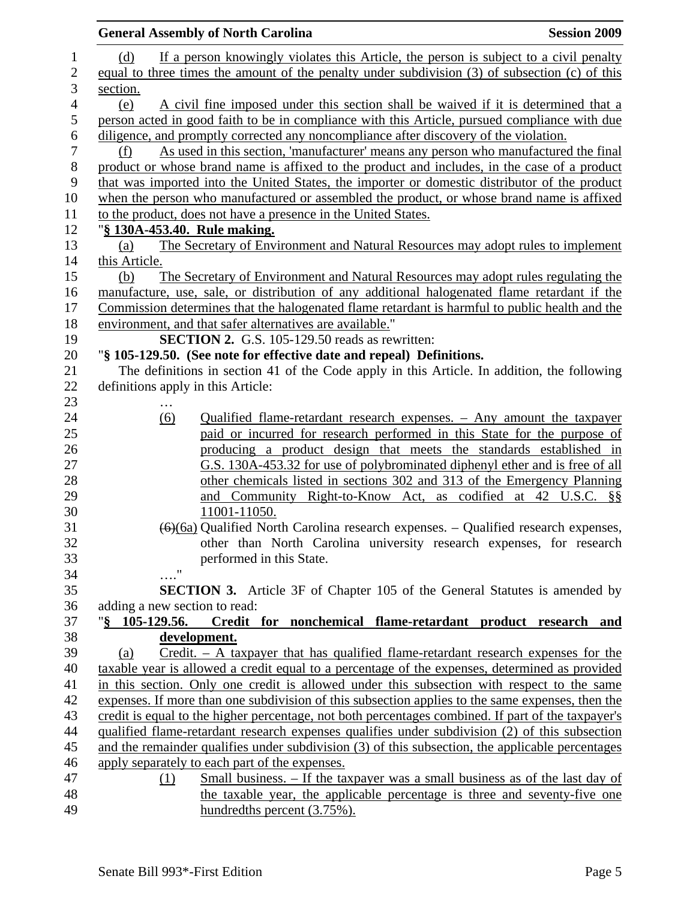| <b>General Assembly of North Carolina</b>                                                              | <b>Session 2009</b> |
|--------------------------------------------------------------------------------------------------------|---------------------|
| If a person knowingly violates this Article, the person is subject to a civil penalty<br>(d)           |                     |
| equal to three times the amount of the penalty under subdivision (3) of subsection (c) of this         |                     |
| section.                                                                                               |                     |
| A civil fine imposed under this section shall be waived if it is determined that a<br>(e)              |                     |
| person acted in good faith to be in compliance with this Article, pursued compliance with due          |                     |
| diligence, and promptly corrected any noncompliance after discovery of the violation.                  |                     |
| As used in this section, 'manufacturer' means any person who manufactured the final<br>(f)             |                     |
| product or whose brand name is affixed to the product and includes, in the case of a product           |                     |
| that was imported into the United States, the importer or domestic distributor of the product          |                     |
| when the person who manufactured or assembled the product, or whose brand name is affixed              |                     |
| to the product, does not have a presence in the United States.                                         |                     |
| "§ 130A-453.40. Rule making.                                                                           |                     |
|                                                                                                        |                     |
| The Secretary of Environment and Natural Resources may adopt rules to implement<br>(a)                 |                     |
| this Article.                                                                                          |                     |
| The Secretary of Environment and Natural Resources may adopt rules regulating the<br>(b)               |                     |
| manufacture, use, sale, or distribution of any additional halogenated flame retardant if the           |                     |
| Commission determines that the halogenated flame retardant is harmful to public health and the         |                     |
| environment, and that safer alternatives are available."                                               |                     |
| <b>SECTION 2.</b> G.S. 105-129.50 reads as rewritten:                                                  |                     |
| "§ 105-129.50. (See note for effective date and repeal) Definitions.                                   |                     |
| The definitions in section 41 of the Code apply in this Article. In addition, the following            |                     |
| definitions apply in this Article:                                                                     |                     |
| .                                                                                                      |                     |
| Qualified flame-retardant research expenses. - Any amount the taxpayer<br>$\underline{(6)}$            |                     |
| paid or incurred for research performed in this State for the purpose of                               |                     |
| producing a product design that meets the standards established in                                     |                     |
| G.S. 130A-453.32 for use of polybrominated diphenyl ether and is free of all                           |                     |
| other chemicals listed in sections 302 and 313 of the Emergency Planning                               |                     |
| and Community Right-to-Know Act, as codified at 42 U.S.C. §§                                           |                     |
| 11001-11050.                                                                                           |                     |
| $\left(\frac{6}{6a}\right)$ Qualified North Carolina research expenses. – Qualified research expenses, |                     |
| other than North Carolina university research expenses, for research                                   |                     |
| performed in this State.                                                                               |                     |
| $\pmb{\mathsf{H}}$                                                                                     |                     |
| <b>SECTION 3.</b> Article 3F of Chapter 105 of the General Statutes is amended by                      |                     |
| adding a new section to read:                                                                          |                     |
| $\sqrt{8}$ 105-129.56.<br>Credit for nonchemical flame-retardant product research and                  |                     |
| development.                                                                                           |                     |
| $C$ redit. – A taxpayer that has qualified flame-retardant research expenses for the<br>(a)            |                     |
| taxable year is allowed a credit equal to a percentage of the expenses, determined as provided         |                     |
| in this section. Only one credit is allowed under this subsection with respect to the same             |                     |
| expenses. If more than one subdivision of this subsection applies to the same expenses, then the       |                     |
| credit is equal to the higher percentage, not both percentages combined. If part of the taxpayer's     |                     |
| qualified flame-retardant research expenses qualifies under subdivision (2) of this subsection         |                     |
| and the remainder qualifies under subdivision (3) of this subsection, the applicable percentages       |                     |
| apply separately to each part of the expenses.                                                         |                     |
| Small business. – If the taxpayer was a small business as of the last day of<br>(1)                    |                     |
| the taxable year, the applicable percentage is three and seventy-five one                              |                     |
| hundredths percent (3.75%).                                                                            |                     |
|                                                                                                        |                     |